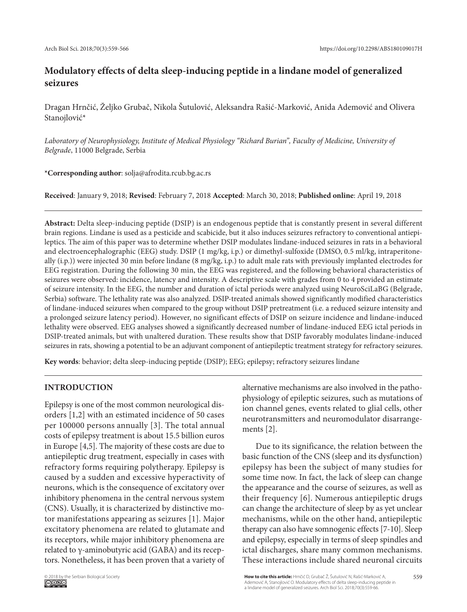# **Modulatory effects of delta sleep-inducing peptide in a lindane model of generalized seizures**

Dragan Hrnčić, Željko Grubač, Nikola Šutulović, Aleksandra Rašić-Marković, Anida Ademović and Olivera Stanojlović\*

*Laboratory of Neurophysiology, Institute of Medical Physiology "Richard Burian", Faculty of Medicine, University of Belgrade*, 11000 Belgrade, Serbia

## **\*Corresponding author**: solja@afrodita.rcub.bg.ac.rs

**Received**: January 9, 2018; **Revised**: February 7, 2018 **Accepted**: March 30, 2018; **Published online**: April 19, 2018

**Abstract:** Delta sleep-inducing peptide (DSIP) is an endogenous peptide that is constantly present in several different brain regions. Lindane is used as a pesticide and scabicide, but it also induces seizures refractory to conventional antiepileptics. The aim of this paper was to determine whether DSIP modulates lindane-induced seizures in rats in a behavioral and electroencephalographic (EEG) study. DSIP (1 mg/kg, i.p.) or dimethyl-sulfoxide (DMSO, 0.5 ml/kg, intraperitoneally (i.p.)) were injected 30 min before lindane (8 mg/kg, i.p.) to adult male rats with previously implanted electrodes for EEG registration. During the following 30 min, the EEG was registered, and the following behavioral characteristics of seizures were observed: incidence, latency and intensity. A descriptive scale with grades from 0 to 4 provided an estimate of seizure intensity. In the EEG, the number and duration of ictal periods were analyzed using NeuroSciLaBG (Belgrade, Serbia) software. The lethality rate was also analyzed. DSIP-treated animals showed significantly modified characteristics of lindane-induced seizures when compared to the group without DSIP pretreatment (i.e. a reduced seizure intensity and a prolonged seizure latency period). However, no significant effects of DSIP on seizure incidence and lindane-induced lethality were observed. EEG analyses showed a significantly decreased number of lindane-induced EEG ictal periods in DSIP-treated animals, but with unaltered duration. These results show that DSIP favorably modulates lindane-induced seizures in rats, showing a potential to be an adjuvant component of antiepileptic treatment strategy for refractory seizures.

**Key words**: behavior; delta sleep-inducing peptide (DSIP); EEG; epilepsy; refractory seizures lindane

## **INTRODUCTION**

Epilepsy is one of the most common neurological disorders [1,2] with an estimated incidence of 50 cases per 100000 persons annually [3]. The total annual costs of epilepsy treatment is about 15.5 billion euros in Europe [4,5]. The majority of these costs are due to antiepileptic drug treatment, especially in cases with refractory forms requiring polytherapy. Epilepsy is caused by a sudden and excessive hyperactivity of neurons, which is the consequence of excitatory over inhibitory phenomena in the central nervous system (CNS). Usually, it is characterized by distinctive motor manifestations appearing as seizures [1]. Major excitatory phenomena are related to glutamate and its receptors, while major inhibitory phenomena are related to γ-aminobutyric acid (GABA) and its receptors. Nonetheless, it has been proven that a variety of alternative mechanisms are also involved in the pathophysiology of epileptic seizures, such as mutations of ion channel genes, events related to glial cells, other neurotransmitters and neuromodulator disarrangements [2].

Due to its significance, the relation between the basic function of the CNS (sleep and its dysfunction) epilepsy has been the subject of many studies for some time now. In fact, the lack of sleep can change the appearance and the course of seizures, as well as their frequency [6]. Numerous antiepileptic drugs can change the architecture of sleep by as yet unclear mechanisms, while on the other hand, antiepileptic therapy can also have somnogenic effects [7-10]. Sleep and epilepsy, especially in terms of sleep spindles and ictal discharges, share many common mechanisms. These interactions include shared neuronal circuits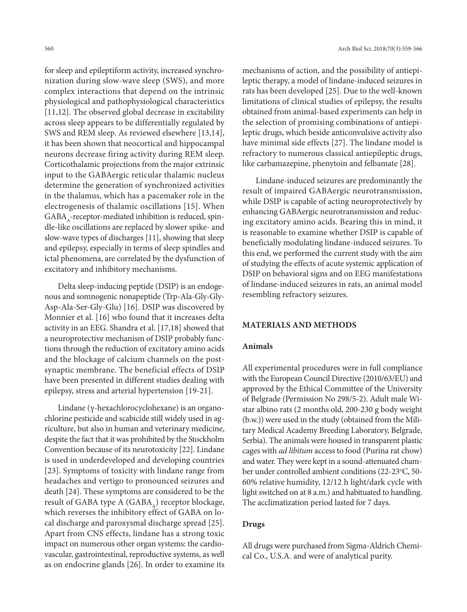for sleep and epileptiform activity, increased synchronization during slow-wave sleep (SWS), and more complex interactions that depend on the intrinsic physiological and pathophysiological characteristics [11,12]. The observed global decrease in excitability across sleep appears to be differentially regulated by SWS and REM sleep. As reviewed elsewhere [13,14], it has been shown that neocortical and hippocampal neurons decrease firing activity during REM sleep. Corticothalamic projections from the major extrinsic input to the GABAergic reticular thalamic nucleus determine the generation of synchronized activities in the thalamus, which has a pacemaker role in the electrogenesis of thalamic oscillations [15]. When  $GABA_{\Lambda}$ -receptor-mediated inhibition is reduced, spindle-like oscillations are replaced by slower spike- and slow-wave types of discharges [11], showing that sleep and epilepsy, especially in terms of sleep spindles and ictal phenomena, are correlated by the dysfunction of excitatory and inhibitory mechanisms.

Delta sleep-inducing peptide (DSIP) is an endogenous and somnogenic nonapeptide (Trp-Ala-Gly-Gly-Asp-Ala-Ser-Gly-Glu) [16]. DSIP was discovered by Monnier et al*.* [16] who found that it increases delta activity in an EEG. Shandra et al. [17,18] showed that a neuroprotective mechanism of DSIP probably functions through the reduction of excitatory amino acids and the blockage of calcium channels on the postsynaptic membrane. The beneficial effects of DSIP have been presented in different studies dealing with epilepsy, stress and arterial hypertension [19-21].

Lindane (γ-hexachlorocyclohexane) is an organochlorine pesticide and scabicide still widely used in agriculture, but also in human and veterinary medicine, despite the fact that it was prohibited by the Stockholm Convention because of its neurotoxicity [22]. Lindane is used in underdeveloped and developing countries [23]. Symptoms of toxicity with lindane range from headaches and vertigo to pronounced seizures and death [24]. These symptoms are considered to be the result of GABA type A (GABA<sub>A</sub>) receptor blockage, which reverses the inhibitory effect of GABA on local discharge and paroxysmal discharge spread [25]. Apart from CNS effects, lindane has a strong toxic impact on numerous other organ systems: the cardiovascular, gastrointestinal, reproductive systems, as well as on endocrine glands [26]. In order to examine its

mechanisms of action, and the possibility of antiepileptic therapy, a model of lindane-induced seizures in rats has been developed [25]. Due to the well-known limitations of clinical studies of epilepsy, the results obtained from animal-based experiments can help in the selection of promising combinations of antiepileptic drugs, which beside anticonvulsive activity also have minimal side effects [27]. The lindane model is refractory to numerous classical antiepileptic drugs, like carbamazepine, phenytoin and felbamate [28].

Lindane-induced seizures are predominantly the result of impaired GABAergic neurotransmission, while DSIP is capable of acting neuroprotectively by enhancing GABAergic neurotransmission and reducing excitatory amino acids. Bearing this in mind, it is reasonable to examine whether DSIP is capable of beneficially modulating lindane-induced seizures. To this end, we performed the current study with the aim of studying the effects of acute systemic application of DSIP on behavioral signs and on EEG manifestations of lindane-induced seizures in rats, an animal model resembling refractory seizures.

#### **MATERIALS AND METHODS**

#### **Animals**

All experimental procedures were in full compliance with the European Council Directive (2010/63/EU) and approved by the Ethical Committee of the University of Belgrade (Permission No 298/5-2). Adult male Wistar albino rats (2 months old, 200-230 g body weight (b.w.)) were used in the study (obtained from the Military Medical Academy Breeding Laboratory, Belgrade, Serbia). The animals were housed in transparent plastic cages with *ad libitum* access to food (Purina rat chow) and water. They were kept in a sound-attenuated chamber under controlled ambient conditions (22-23°C, 50-60% relative humidity, 12/12 h light/dark cycle with light switched on at 8 a.m.) and habituated to handling. The acclimatization period lasted for 7 days.

## **Drugs**

All drugs were purchased from Sigma-Aldrich Chemical Co., U.S.A. and were of analytical purity.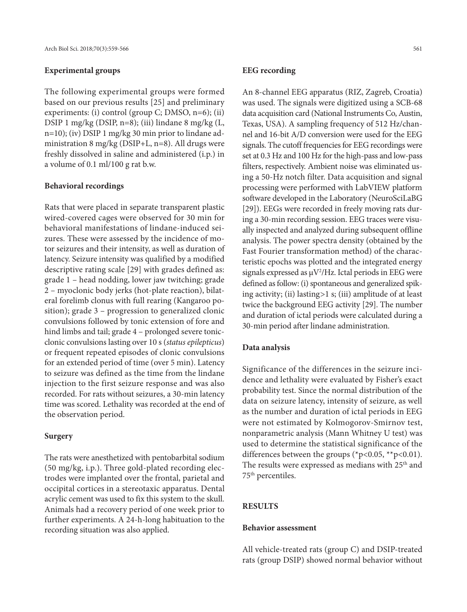#### **Experimental groups**

The following experimental groups were formed based on our previous results [25] and preliminary experiments: (i) control (group C; DMSO, n=6); (ii) DSIP 1 mg/kg (DSIP, n=8); (iii) lindane 8 mg/kg (L, n=10); (iv) DSIP 1 mg/kg 30 min prior to lindane administration 8 mg/kg (DSIP+L, n=8). All drugs were freshly dissolved in saline and administered (i.p.) in a volume of 0.1 ml/100 g rat b.w.

#### **Behavioral recordings**

Rats that were placed in separate transparent plastic wired-covered cages were observed for 30 min for behavioral manifestations of lindane-induced seizures. These were assessed by the incidence of motor seizures and their intensity, as well as duration of latency. Seizure intensity was qualified by a modified descriptive rating scale [29] with grades defined as: grade 1 – head nodding, lower jaw twitching; grade 2 – myoclonic body jerks (hot-plate reaction), bilateral forelimb clonus with full rearing (Kangaroo position); grade 3 – progression to generalized clonic convulsions followed by tonic extension of fore and hind limbs and tail; grade 4 – prolonged severe tonicclonic convulsions lasting over 10 s (*status epilepticus*) or frequent repeated episodes of clonic convulsions for an extended period of time (over 5 min). Latency to seizure was defined as the time from the lindane injection to the first seizure response and was also recorded. For rats without seizures, a 30-min latency time was scored. Lethality was recorded at the end of the observation period.

#### **Surgery**

The rats were anesthetized with pentobarbital sodium (50 mg/kg, i.p.). Three gold-plated recording electrodes were implanted over the frontal, parietal and occipital cortices in a stereotaxic apparatus. Dental acrylic cement was used to fix this system to the skull. Animals had a recovery period of one week prior to further experiments. A 24-h-long habituation to the recording situation was also applied.

#### **EEG recording**

An 8-channel EEG apparatus (RIZ, Zagreb, Croatia) was used. The signals were digitized using a SCB-68 data acquisition card (National Instruments Co, Austin, Texas, USA). A sampling frequency of 512 Hz/channel and 16-bit A/D conversion were used for the EEG signals. The cutoff frequencies for EEG recordings were set at 0.3 Hz and 100 Hz for the high-pass and low-pass filters, respectively. Ambient noise was eliminated using a 50-Hz notch filter. Data acquisition and signal processing were performed with LabVIEW platform software developed in the Laboratory (NeuroSciLaBG [29]). EEGs were recorded in freely moving rats during a 30-min recording session. EEG traces were visually inspected and analyzed during subsequent offline analysis. The power spectra density (obtained by the Fast Fourier transformation method) of the characteristic epochs was plotted and the integrated energy signals expressed as  $\mu$ V<sup>2</sup>/Hz. Ictal periods in EEG were defined as follow: (i) spontaneous and generalized spiking activity; (ii) lasting*>*1 s; (iii) amplitude of at least twice the background EEG activity [29]. The number and duration of ictal periods were calculated during a 30-min period after lindane administration.

#### **Data analysis**

Significance of the differences in the seizure incidence and lethality were evaluated by Fisher's exact probability test. Since the normal distribution of the data on seizure latency, intensity of seizure, as well as the number and duration of ictal periods in EEG were not estimated by Kolmogorov-Smirnov test, nonparametric analysis (Mann Whitney U test) was used to determine the statistical significance of the differences between the groups (\*p<0.05, \*\*p<0.01). The results were expressed as medians with 25<sup>th</sup> and 75th percentiles.

## **RESULTS**

#### **Behavior assessment**

All vehicle-treated rats (group C) and DSIP-treated rats (group DSIP) showed normal behavior without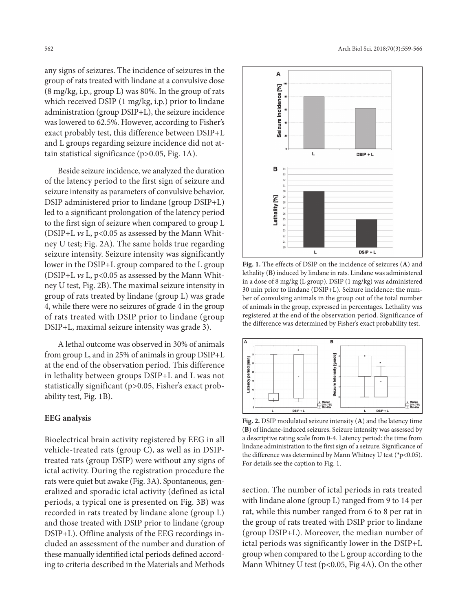any signs of seizures. The incidence of seizures in the group of rats treated with lindane at a convulsive dose (8 mg/kg, i.p., group L) was 80%. In the group of rats which received DSIP (1 mg/kg, i.p.) prior to lindane administration (group DSIP+L), the seizure incidence was lowered to 62.5%. However, according to Fisher's exact probably test, this difference between DSIP+L and L groups regarding seizure incidence did not attain statistical significance (p>0.05, Fig. 1A).

Beside seizure incidence, we analyzed the duration of the latency period to the first sign of seizure and seizure intensity as parameters of convulsive behavior. DSIP administered prior to lindane (group DSIP+L) led to a significant prolongation of the latency period to the first sign of seizure when compared to group L (DSIP+L *vs* L, p<0.05 as assessed by the Mann Whitney U test; Fig. 2A). The same holds true regarding seizure intensity. Seizure intensity was significantly lower in the DSIP+L group compared to the L group (DSIP+L *vs* L, p<0.05 as assessed by the Mann Whitney U test, Fig. 2B). The maximal seizure intensity in group of rats treated by lindane (group L) was grade 4, while there were no seizures of grade 4 in the group of rats treated with DSIP prior to lindane (group DSIP+L, maximal seizure intensity was grade 3).

A lethal outcome was observed in 30% of animals from group L, and in 25% of animals in group DSIP+L at the end of the observation period. This difference in lethality between groups DSIP+L and L was not statistically significant (p>0.05, Fisher's exact probability test, Fig. 1B).

### **EEG analysis**

Bioelectrical brain activity registered by EEG in all vehicle-treated rats (group C), as well as in DSIPtreated rats (group DSIP) were without any signs of ictal activity. During the registration procedure the rats were quiet but awake (Fig. 3A). Spontaneous, generalized and sporadic ictal activity (defined as ictal periods, a typical one is presented on Fig. 3B) was recorded in rats treated by lindane alone (group L) and those treated with DSIP prior to lindane (group DSIP+L). Offline analysis of the EEG recordings included an assessment of the number and duration of these manually identified ictal periods defined according to criteria described in the Materials and Methods



**Fig. 1.** The effects of DSIP on the incidence of seizures (**A**) and lethality (**B**) induced by lindane in rats. Lindane was administered in a dose of 8 mg/kg (L group). DSIP (1 mg/kg) was administered 30 min prior to lindane (DSIP+L). Seizure incidence: the number of convulsing animals in the group out of the total number of animals in the group, expressed in percentages. Lethality was registered at the end of the observation period. Significance of the difference was determined by Fisher's exact probability test.



**Fig. 2.** DSIP modulated seizure intensity (**A**) and the latency time (**B**) of lindane-induced seizures. Seizure intensity was assessed by a descriptive rating scale from 0-4. Latency period: the time from lindane administration to the first sign of a seizure. Significance of the difference was determined by Mann Whitney U test (\*p<0.05). For details see the caption to Fig. 1.

section. The number of ictal periods in rats treated with lindane alone (group L) ranged from 9 to 14 per rat, while this number ranged from 6 to 8 per rat in the group of rats treated with DSIP prior to lindane (group DSIP+L). Moreover, the median number of ictal periods was significantly lower in the DSIP+L group when compared to the L group according to the Mann Whitney U test (p<0.05, Fig 4A). On the other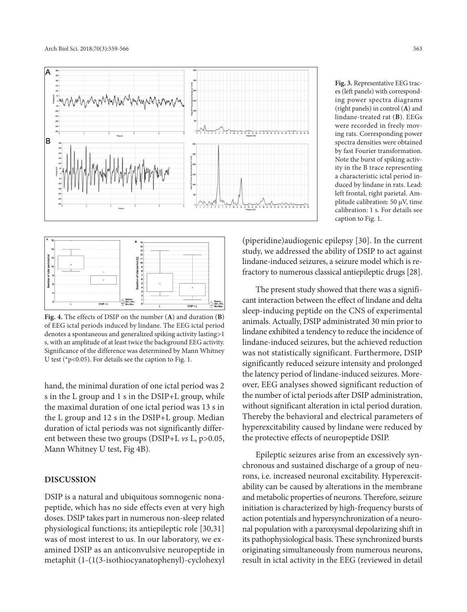



**Fig. 4.** The effects of DSIP on the number (**A**) and duration (**B**) of EEG ictal periods induced by lindane. The EEG ictal period denotes a spontaneous and generalized spiking activity lasting*>*1 s, with an amplitude of at least twice the background EEG activity. Significance of the difference was determined by Mann Whitney U test (\*p<0.05). For details see the caption to Fig. 1.

hand, the minimal duration of one ictal period was 2 s in the L group and 1 s in the DSIP+L group, while the maximal duration of one ictal period was 13 s in the L group and 12 s in the DSIP+L group. Median duration of ictal periods was not significantly different between these two groups (DSIP+L *vs* L, p>0.05, Mann Whitney U test, Fig 4B).

## **DISCUSSION**

DSIP is a natural and ubiquitous somnogenic nonapeptide, which has no side effects even at very high doses. DSIP takes part in numerous non-sleep related physiological functions; its antiepileptic role [30,31] was of most interest to us. In our laboratory, we examined DSIP as an anticonvulsive neuropeptide in metaphit (1-(1(3-isothiocyanatophenyl)-cyclohexyl

**Fig. 3.** Representative EEG traces (left panels) with corresponding power spectra diagrams (right panels) in control (**A**) and lindane-treated rat (**B**). EEGs were recorded in freely moving rats. Corresponding power spectra densities were obtained by fast Fourier transformation. Note the burst of spiking activity in the B trace representing a characteristic ictal period induced by lindane in rats. Lead: left frontal, right parietal. Amplitude calibration: 50 µV, time calibration: 1 s. For details see caption to Fig. 1.

(piperidine)audiogenic epilepsy [30]. In the current study, we addressed the ability of DSIP to act against lindane-induced seizures, a seizure model which is refractory to numerous classical antiepileptic drugs [28].

The present study showed that there was a significant interaction between the effect of lindane and delta sleep-inducing peptide on the CNS of experimental animals. Actually, DSIP administrated 30 min prior to lindane exhibited a tendency to reduce the incidence of lindane-induced seizures, but the achieved reduction was not statistically significant. Furthermore, DSIP significantly reduced seizure intensity and prolonged the latency period of lindane-induced seizures. Moreover, EEG analyses showed significant reduction of the number of ictal periods after DSIP administration, without significant alteration in ictal period duration. Thereby the behavioral and electrical parameters of hyperexcitability caused by lindane were reduced by the protective effects of neuropeptide DSIP.

Epileptic seizures arise from an excessively synchronous and sustained discharge of a group of neurons, i.e. increased neuronal excitability. Hyperexcitability can be caused by alterations in the membrane and metabolic properties of neurons. Therefore, seizure initiation is characterized by high-frequency bursts of action potentials and hypersynchronization of a neuronal population with a paroxysmal depolarizing shift in its pathophysiological basis. These synchronized bursts originating simultaneously from numerous neurons, result in ictal activity in the EEG (reviewed in detail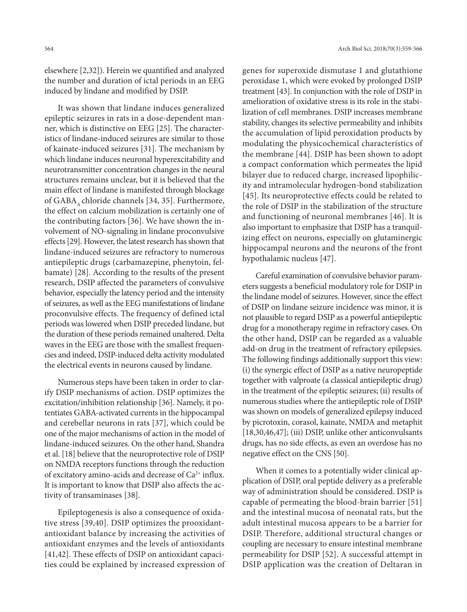elsewhere [2,32]). Herein we quantified and analyzed the number and duration of ictal periods in an EEG induced by lindane and modified by DSIP.

It was shown that lindane induces generalized epileptic seizures in rats in a dose-dependent manner, which is distinctive on EEG [25]. The characteristics of lindane-induced seizures are similar to those of kainate-induced seizures [31]. The mechanism by which lindane induces neuronal hyperexcitability and neurotransmitter concentration changes in the neural structures remains unclear, but it is believed that the main effect of lindane is manifested through blockage of GABA, chloride channels [34, 35]. Furthermore, the effect on calcium mobilization is certainly one of the contributing factors [36]. We have shown the involvement of NO-signaling in lindane proconvulsive effects [29]. However, the latest research has shown that lindane-induced seizures are refractory to numerous antiepileptic drugs (carbamazepine, phenytoin, felbamate) [28]. According to the results of the present research, DSIP affected the parameters of convulsive behavior, especially the latency period and the intensity of seizures, as well as the EEG manifestations of lindane proconvulsive effects. The frequency of defined ictal periods was lowered when DSIP preceded lindane, but the duration of these periods remained unaltered. Delta waves in the EEG are those with the smallest frequencies and indeed, DSIP-induced delta activity modulated the electrical events in neurons caused by lindane.

Numerous steps have been taken in order to clarify DSIP mechanisms of action. DSIP optimizes the excitation/inhibition relationship [36]. Namely, it potentiates GABA-activated currents in the hippocampal and cerebellar neurons in rats [37], which could be one of the major mechanisms of action in the model of lindane-induced seizures. On the other hand, Shandra et al. [18] believe that the neuroprotective role of DSIP on NMDA receptors functions through the reduction of excitatory amino-acids and decrease of  $Ca^{2+}$  influx. It is important to know that DSIP also affects the activity of transaminases [38].

Epileptogenesis is also a consequence of oxidative stress [39,40]. DSIP optimizes the prooxidantantioxidant balance by increasing the activities of antioxidant enzymes and the levels of antioxidants [41,42]. These effects of DSIP on antioxidant capacities could be explained by increased expression of

genes for superoxide dismutase 1 and glutathione peroxidase 1, which were evoked by prolonged DSIP treatment [43]. In conjunction with the role of DSIP in amelioration of oxidative stress is its role in the stabilization of cell membranes. DSIP increases membrane stability, changes its selective permeability and inhibits the accumulation of lipid peroxidation products by modulating the physicochemical characteristics of the membrane [44]. DSIP has been shown to adopt a compact conformation which permeates the lipid bilayer due to reduced charge, increased lipophilicity and intramolecular hydrogen-bond stabilization [45]. Its neuroprotective effects could be related to the role of DSIP in the stabilization of the structure and functioning of neuronal membranes [46]. It is also important to emphasize that DSIP has a tranquilizing effect on neurons, especially on glutaminergic hippocampal neurons and the neurons of the front hypothalamic nucleus [47].

Careful examination of convulsive behavior parameters suggests a beneficial modulatory role for DSIP in the lindane model of seizures. However, since the effect of DSIP on lindane seizure incidence was minor, it is not plausible to regard DSIP as a powerful antiepileptic drug for a monotherapy regime in refractory cases. On the other hand, DSIP can be regarded as a valuable add-on drug in the treatment of refractory epilepsies. The following findings additionally support this view: (i) the synergic effect of DSIP as a native neuropeptide together with valproate (a classical antiepileptic drug) in the treatment of the epileptic seizures; (ii) results of numerous studies where the antiepileptic role of DSIP was shown on models of generalized epilepsy induced by picrotoxin, corasol, kainate, NMDA and metaphit [18,30,46,47]; (iii) DSIP, unlike other anticonvulsants drugs, has no side effects, as even an overdose has no negative effect on the CNS [50].

When it comes to a potentially wider clinical application of DSIP, oral peptide delivery as a preferable way of administration should be considered. DSIP is capable of permeating the blood-brain barrier [51] and the intestinal mucosa of neonatal rats, but the adult intestinal mucosa appears to be a barrier for DSIP. Therefore, additional structural changes or coupling are necessary to ensure intestinal membrane permeability for DSIP [52]. A successful attempt in DSIP application was the creation of Deltaran in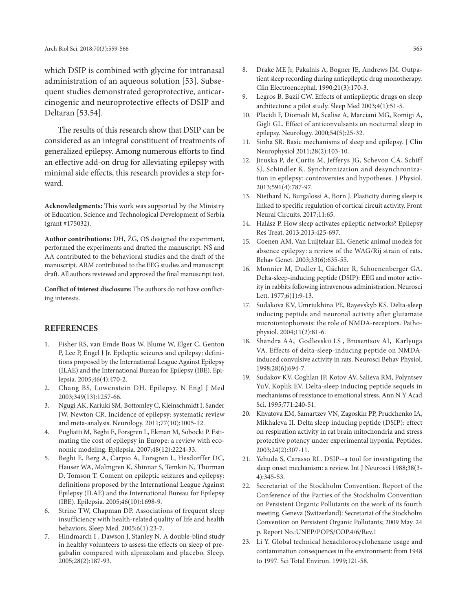which DSIP is combined with glycine for intranasal administration of an aqueous solution [53]. Subsequent studies demonstrated geroprotective, anticarcinogenic and neuroprotective effects of DSIP and Deltaran [53,54].

The results of this research show that DSIP can be considered as an integral constituent of treatments of generalized epilepsy. Among numerous efforts to find an effective add-on drug for alleviating epilepsy with minimal side effects, this research provides a step forward.

**Acknowledgments:** This work was supported by the Ministry of Education, Science and Technological Development of Serbia (grant #175032).

**Author contributions:** DH, ŽG, OS designed the experiment, performed the experiments and drafted the manuscript. NŠ and AA contributed to the behavioral studies and the draft of the manuscript. ARM contributed to the EEG studies and manuscript draft. All authors reviewed and approved the final manuscript text.

**Conflict of interest disclosure:** The authors do not have conflicting interests.

#### **REFERENCES**

- 1. Fisher RS, van Emde Boas W, Blume W, Elger C, Genton P, Lee P, Engel J Jr. Epileptic seizures and epilepsy: definitions proposed by the International League Against Epilepsy (ILAE) and the International Bureau for Epilepsy (IBE). Epilepsia. 2005;46(4):470-2.
- 2. Chang BS, Lowenstein DH. Epilepsy. N Engl J Med 2003;349(13):1257-66.
- 3. Ngugi AK, Kariuki SM, Bottomley C, Kleinschmidt I, Sander JW, Newton CR. Incidence of epilepsy: systematic review and meta-analysis. Neurology. 2011;77(10):1005-12.
- 4. Pugliatti M, Beghi E, Forsgren L, Ekman M, Sobocki P. Estimating the cost of epilepsy in Europe: a review with economic modeling. Epilepsia. 2007;48(12):2224-33.
- 5. Beghi E, Berg A, Carpio A, Forsgren L, Hesdorffer DC, Hauser WA, Malmgren K, Shinnar S, Temkin N, Thurman D, Tomson T. Coment on epileptic seizures and epilepsy: definitions proposed by the International League Against Epilepsy (ILAE) and the International Bureau for Epilepsy (IBE). Epilepsia. 2005;46(10):1698-9.
- 6. Strine TW, Chapman DP. Associations of frequent sleep insufficiency with health-related quality of life and health behaviors. Sleep Med. 2005;6(1):23-7.
- Hindmarch I, Dawson J, Stanley N. A double-blind study in healthy volunteers to assess the effects on sleep of pregabalin compared with alprazolam and placebo. Sleep. 2005;28(2):187-93.
- 8. Drake ME Jr, Pakalnis A, Bogner JE, Andrews JM. Outpatient sleep recording during antiepileptic drug monotherapy. Clin Electroencephal. 1990;21(3):170-3.
- 9. Legros B, Bazil CW. Effects of antiepileptic drugs on sleep architecture: a pilot study. Sleep Med 2003;4(1):51-5.
- 10. Placidi F, Diomedi M, Scalise A, Marciani MG, Romigi A, Gigli GL. Effect of anticonvulsants on nocturnal sleep in epilepsy. Neurology. 2000;54(5):25-32.
- 11. Sinha SR. Basic mechanisms of sleep and epilepsy. J Clin Neurophysiol 2011;28(2):103-10.
- 12. Jiruska P, de Curtis M, Jefferys JG, Schevon CA, Schiff SJ, Schindler K. Synchronization and desynchronization in epilepsy: controversies and hypotheses. J Physiol. 2013;591(4):787-97.
- 13. Niethard N, Burgalossi A, Born J. Plasticity during sleep is linked to specific regulation of cortical circuit activity. Front Neural Circuits. 2017;11:65.
- 14. Halász P. How sleep activates epileptic networks? Epilepsy Res Treat. 2013;2013:425-697.
- 15. Coenen AM, Van Luijtelaar EL. Genetic animal models for absence epilepsy: a review of the WAG/Rij strain of rats. Behav Genet. 2003;33(6):635-55.
- 16. Monnier M, Dudler L, Gächter R, Schoenenberger GA. Delta-sleep-inducing peptide (DSIP): EEG and motor activity in rabbits following intravenous administration. Neurosci Lett. 1977;6(1):9-13.
- 17. Sudakova KV, Umriukhina PE, Rayevskyb KS. Delta-sleep inducing peptide and neuronal activity after glutamate microiontophoresis: the role of NMDA-receptors. Pathophysiol. 2004;11(2):81-6.
- 18. Shandra AA, Godlevskii LS , Brusentsov AI, Karlyuga VA. Effects of delta-sleep-inducing peptide on NMDAinduced convulsive activity in rats. Neurosci Behav Physiol. 1998;28(6):694-7.
- 19. Sudakov KV, Coghlan JP, Kotov AV, Salieva RM, Polyntsev YuV, Koplik EV. Delta-sleep inducing peptide sequels in mechanisms of resistance to emotional stress. Ann N Y Acad Sci. 1995;771:240-51.
- 20. Khvatova EM, Samartzev VN, Zagoskin PP, Prudchenko IA, Mikhaleva II. Delta sleep inducing peptide (DSIP): effect on respiration activity in rat brain mitochondria and stress protective potency under experimental hypoxia. Peptides. 2003;24(2):307-11.
- 21. Yehuda S, Carasso RL. DSIP--a tool for investigating the sleep onset mechanism: a review. Int J Neurosci 1988;38(3- 4):345-53.
- 22. Secretariat of the Stockholm Convention. Report of the Conference of the Parties of the Stockholm Convention on Persistent Organic Pollutants on the work of its fourth meeting. Geneva (Switzerland): Secretariat of the Stockholm Convention on Persistent Organic Pollutants; 2009 May. 24 p. Report No.:UNEP/POPS/COP.4/6/Rev.1
- 23. Li Y. Global technical hexachlorocyclohexane usage and contamination consequences in the environment: from 1948 to 1997. Sci Total Environ. 1999;121-58.